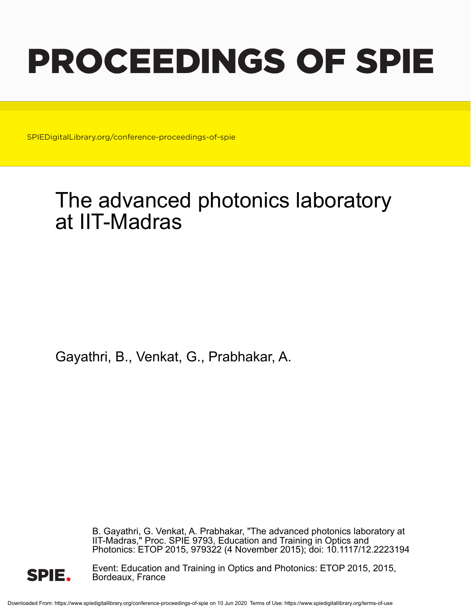# PROCEEDINGS OF SPIE

SPIEDigitalLibrary.org/conference-proceedings-of-spie

## The advanced photonics laboratory at IIT-Madras

Gayathri, B., Venkat, G., Prabhakar, A.

B. Gayathri, G. Venkat, A. Prabhakar, "The advanced photonics laboratory at IIT-Madras," Proc. SPIE 9793, Education and Training in Optics and Photonics: ETOP 2015, 979322 (4 November 2015); doi: 10.1117/12.2223194



Event: Education and Training in Optics and Photonics: ETOP 2015, 2015, Bordeaux, France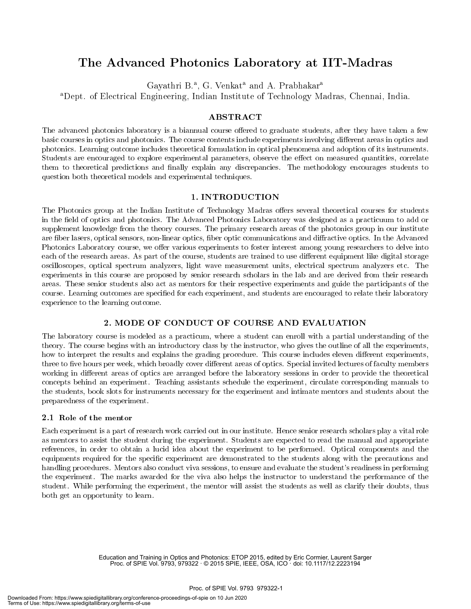### The Advanced Photonics Laboratory at IIT-Madras

Gayathri B.<sup>a</sup>, G. Venkat<sup>a</sup> and A. Prabhakar<sup>a</sup>

<sup>a</sup>Dept. of Electrical Engineering, Indian Institute of Technology Madras, Chennai, India.

#### ABSTRACT

The advanced photonics laboratory is a biannual course offered to graduate students, after they have taken a few basic courses in optics and photonics. The course contents include experiments involving different areas in optics and photonics. Learning outcome includes theoretical formulation in optical phenomena and adoption of its instruments. Students are encouraged to explore experimental parameters, observe the effect on measured quantities, correlate them to theoretical predictions and finally explain any discrepancies. The methodology encourages students to question both theoretical models and experimental techniques.

#### 1. INTRODUCTION

The Photonics group at the Indian Institute of Technology Madras offers several theoretical courses for students in the field of optics and photonics. The Advanced Photonics Laboratory was designed as a practicuum to add or supplement knowledge from the theory courses. The primary research areas of the photonics group in our institute are fiber lasers, optical sensors, non-linear optics, fiber optic communications and diffractive optics. In the Advanced Photonics Laboratory course, we offer various experiments to foster interest among young researchers to delve into each of the research areas. As part of the course, students are trained to use different equipment like digital storage oscilloscopes, optical spectrum analyzers, light wave measurement units, electrical spectrum analyzers etc. The experiments in this course are proposed by senior research scholars in the lab and are derived from their research areas. These senior students also act as mentors for their respective experiments and guide the participants of the course. Learning outcomes are specified for each experiment, and students are encouraged to relate their laboratory experience to the learning outcome.

#### 2. MODE OF CONDUCT OF COURSE AND EVALUATION

The laboratory course is modeled as a practicum, where a student can enroll with a partial understanding of the theory. The course begins with an introductory class by the instructor, who gives the outline of all the experiments, how to interpret the results and explains the grading procedure. This course includes eleven different experiments, three to five hours per week, which broadly cover different areas of optics. Special invited lectures of faculty members working in different areas of optics are arranged before the laboratory sessions in order to provide the theoretical concepts behind an experiment. Teaching assistants schedule the experiment, circulate corresponding manuals to the students, book slots for instruments necessary for the experiment and intimate mentors and students about the preparedness of the experiment.

#### 2.1 Role of the mentor

Each experiment is a part of research work carried out in our institute. Hence senior research scholars play a vital role as mentors to assist the student during the experiment. Students are expected to read the manual and appropriate references, in order to obtain a lucid idea about the experiment to be performed. Optical components and the equipments required for the specific experiment are demonstrated to the students along with the precautions and handling procedures. Mentors also conduct viva sessions, to ensure and evaluate the student's readiness in performing the experiment. The marks awarded for the viva also helps the instructor to understand the performance of the student. While performing the experiment, the mentor will assist the students as well as clarify their doubts, thus both get an opportunity to learn.

> Education and Training in Optics and Photonics: ETOP 2015, edited by Eric Cormier, Laurent Sarger Proc. of SPIE Vol. 9793, 979322 · © 2015 SPIE, IEEE, OSA, ICO · doi: 10.1117/12.2223194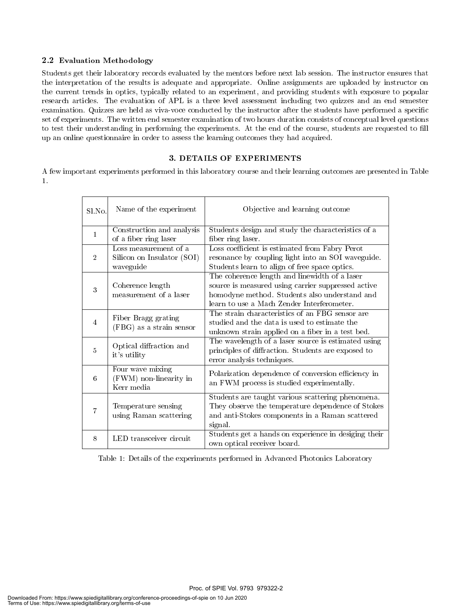#### 2.2 Evaluation Methodology

Students get their laboratory records evaluated by the mentors before next lab session. The instructor ensures that the interpretation of the results is adequate and appropriate. Online assignments are uploaded by instructor on the current trends in optics, typically related to an experiment, and providing students with exposure to popular research articles. The evaluation of APL is a three level assessment including two quizzes and an end semester examination. Quizzes are held as viva-voce conducted by the instructor after the students have performed a specific set of experiments. The written end semester examination of two hours duration consists of conceptual level questions to test their understanding in performing the experiments. At the end of the course, students are requested to fill up an online questionnaire in order to assess the learning outcomes they had acquired.

#### 3. DETAILS OF EXPERIMENTS

A few important experiments performed in this laboratory course and their learning outcomes are presented in Table 1.

| Sl.No.         | Name of the experiment                                           | Objective and learning outcome                                                                                                                                                                     |
|----------------|------------------------------------------------------------------|----------------------------------------------------------------------------------------------------------------------------------------------------------------------------------------------------|
| $\mathbf{1}$   | Construction and analysis<br>of a fiber ring laser               | Students design and study the characteristics of a<br>fiber ring laser.                                                                                                                            |
| $\overline{2}$ | Loss measurement of a<br>Silicon on Insulator (SOI)<br>waveguide | Loss coefficient is estimated from Fabry Perot<br>resonance by coupling light into an SOI waveguide.<br>Students learn to align of free space optics.                                              |
| 3              | Coherence length<br>measurement of a laser                       | The coherence length and linewidth of a laser<br>source is measured using carrier suppressed active<br>homodyne method. Students also understand and<br>learn to use a Mach Zender Interferometer. |
| $\overline{4}$ | Fiber Bragg grating<br>(FBG) as a strain sensor                  | The strain characteristics of an FBG sensor are<br>studied and the data is used to estimate the<br>unknown strain applied on a fiber in a test bed.                                                |
| 5              | Optical diffraction and<br>it's utility                          | The wavelength of a laser source is estimated using<br>principles of diffraction. Students are exposed to<br>error analysis techniques.                                                            |
| 6              | Four wave mixing<br>(FWM) non-linearity in<br>Kerr media         | Polarization dependence of conversion efficiency in<br>an FWM process is studied experimentally.                                                                                                   |
| $\overline{7}$ | Temperature sensing<br>using Raman scattering                    | Students are taught various scattering phenomena.<br>They observe the temperature dependence of Stokes<br>and anti-Stokes components in a Raman scattered<br>signal.                               |
| 8              | LED transceiver circuit                                          | Students get a hands on experience in desiging their<br>own optical receiver board.                                                                                                                |

Table 1: Details of the experiments performed in Advanced Photonics Laboratory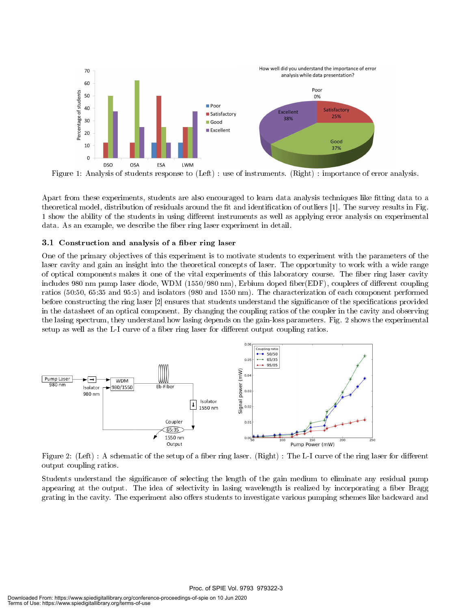

Figure 1: Analysis of students response to (Left) : use of instruments. (Right) : importance of error analysis.

Apart from these experiments, students are also encouraged to learn data analysis techniques like fitting data to a theoretical model, distribution of residuals around the fit and identification of outliers [1]. The survey results in Fig. 1 show the ability of the students in using different instruments as well as applying error analysis on experimental data. As an example, we describe the fiber ring laser experiment in detail.

#### 3.1 Construction and analysis of a fiber ring laser

One of the primary objectives of this experiment is to motivate students to experiment with the parameters of the laser cavity and gain an insight into the theoretical concepts of laser. The opportunity to work with a wide range of optical components makes it one of the vital experiments of this laboratory course. The fiber ring laser cavity includes 980 nm pump laser diode, WDM (1550/980 nm), Erbium doped fiber(EDF), couplers of different coupling ratios (50:50, 65:35 and 95:5) and isolators (980 and 1550 nm). The characterization of each component performed before constructing the ring laser [2] ensures that students understand the significance of the specifications provided in the datasheet of an optical component. By changing the coupling ratios of the coupler in the cavity and observing the lasing spectrum, they understand how lasing depends on the gain-loss parameters. Fig. 2 shows the experimental setup as well as the L-I curve of a fiber ring laser for different output coupling ratios.



Figure 2: (Left) : A schematic of the setup of a fiber ring laser. (Right) : The L-I curve of the ring laser for different output coupling ratios.

Students understand the signicance of selecting the length of the gain medium to eliminate any residual pump appearing at the output. The idea of selectivity in lasing wavelength is realized by incorporating a fiber Bragg grating in the cavity. The experiment also offers students to investigate various pumping schemes like backward and